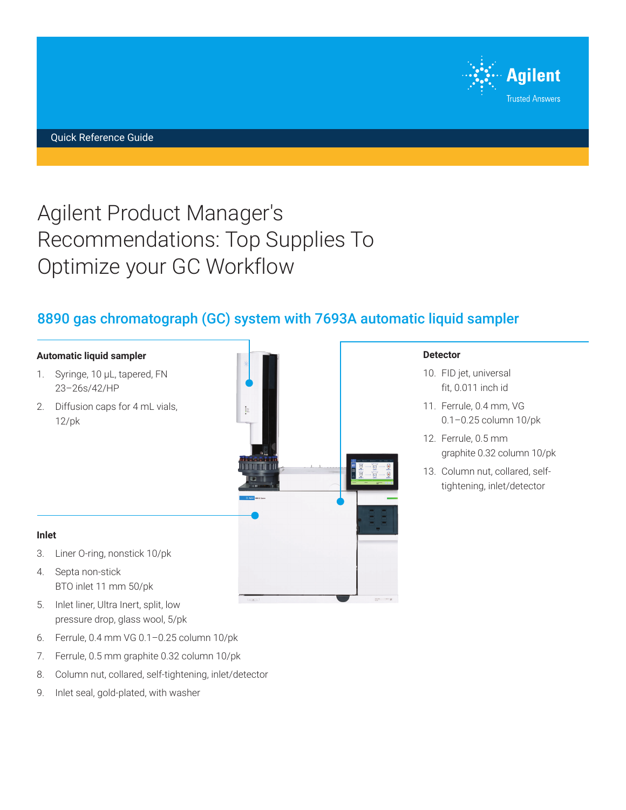

# Agilent Product Manager's Recommendations: Top Supplies To Optimize your GC Workflow

## 8890 gas chromatograph (GC) system with 7693A automatic liquid sampler

#### **Automatic liquid sampler**

- 1. Syringe, 10 μL, tapered, FN 23–26s/42/HP
- 2. Diffusion caps for 4 mL vials, 12/pk



#### **Detector**

- 10. FID jet, universal fit, 0.011 inch id
- 11. Ferrule, 0.4 mm, VG 0.1–0.25 column 10/pk
- 12. Ferrule, 0.5 mm graphite 0.32 column 10/pk
- 13. Column nut, collared, selftightening, inlet/detector

#### **Inlet**

- 3. Liner O-ring, nonstick 10/pk
- 4. Septa non-stick BTO inlet 11 mm 50/pk
- 5. Inlet liner, Ultra Inert, split, low pressure drop, glass wool, 5/pk
- 6. Ferrule, 0.4 mm VG 0.1–0.25 column 10/pk
- 7. Ferrule, 0.5 mm graphite 0.32 column 10/pk
- 8. Column nut, collared, self-tightening, inlet/detector
- 9. Inlet seal, gold-plated, with washer